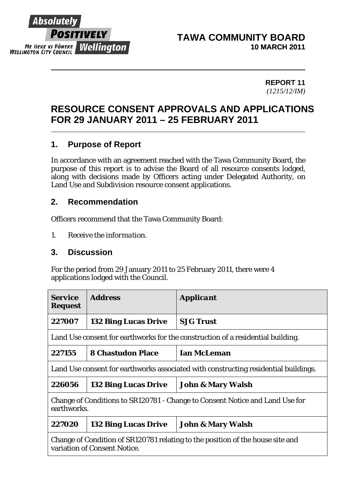

#### **TAWA COMMUNITY BOARD 10 MARCH 2011**

#### **REPORT 11**  *(1215/12/IM)*

# **RESOURCE CONSENT APPROVALS AND APPLICATIONS FOR 29 JANUARY 2011 – 25 FEBRUARY 2011**

### **1. Purpose of Report**

In accordance with an agreement reached with the Tawa Community Board, the purpose of this report is to advise the Board of all resource consents lodged, along with decisions made by Officers acting under Delegated Authority, on Land Use and Subdivision resource consent applications.

### **2. Recommendation**

Officers recommend that the Tawa Community Board:

*1. Receive the information.* 

#### **3. Discussion**

For the period from 29 January 2011 to 25 February 2011, there were 4 applications lodged with the Council.

| <b>Service</b><br><b>Request</b>                                                                               | <b>Address</b>              | <b>Applicant</b>             |  |
|----------------------------------------------------------------------------------------------------------------|-----------------------------|------------------------------|--|
| 227007                                                                                                         | <b>132 Bing Lucas Drive</b> | <b>SJG Trust</b>             |  |
| Land Use consent for earthworks for the construction of a residential building.                                |                             |                              |  |
| 227155                                                                                                         | <b>8 Chastudon Place</b>    | <b>Ian McLeman</b>           |  |
| Land Use consent for earthworks associated with constructing residential buildings.                            |                             |                              |  |
| 226056                                                                                                         | <b>132 Bing Lucas Drive</b> | <b>John &amp; Mary Walsh</b> |  |
| Change of Conditions to SR120781 - Change to Consent Notice and Land Use for<br>earthworks.                    |                             |                              |  |
| 227020                                                                                                         | <b>132 Bing Lucas Drive</b> | <b>John &amp; Mary Walsh</b> |  |
| Change of Condition of SR120781 relating to the position of the house site and<br>variation of Consent Notice. |                             |                              |  |